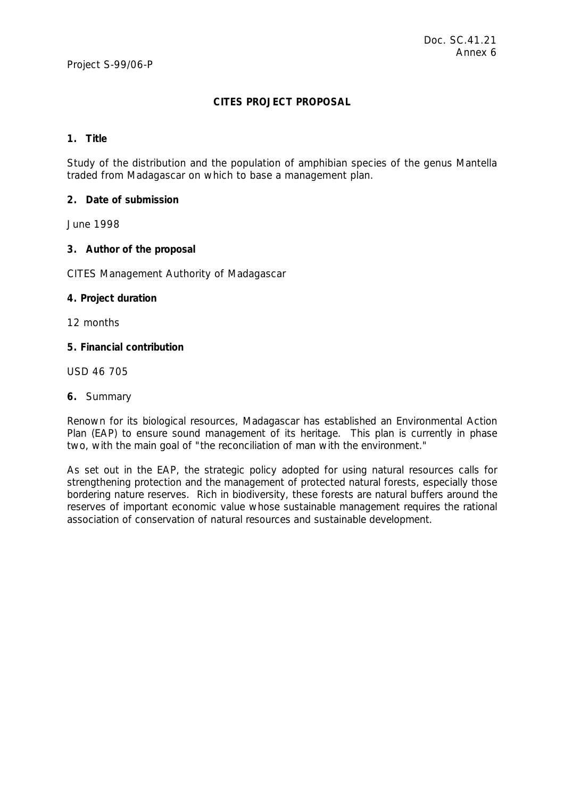# **CITES PROJECT PROPOSAL**

#### **1. Title**

Study of the distribution and the population of amphibian species of the genus *Mantella* traded from Madagascar on which to base a management plan.

## **2. Date of submission**

June 1998

## **3. Author of the proposal**

CITES Management Authority of Madagascar

## **4. Project duration**

12 months

# **5. Financial contribution**

USD 46 705

## **6.** Summary

Renown for its biological resources, Madagascar has established an Environmental Action Plan (EAP) to ensure sound management of its heritage. This plan is currently in phase two, with the main goal of "the reconciliation of man with the environment."

As set out in the EAP, the strategic policy adopted for using natural resources calls for strengthening protection and the management of protected natural forests, especially those bordering nature reserves. Rich in biodiversity, these forests are natural buffers around the reserves of important economic value whose sustainable management requires the rational association of conservation of natural resources and sustainable development.